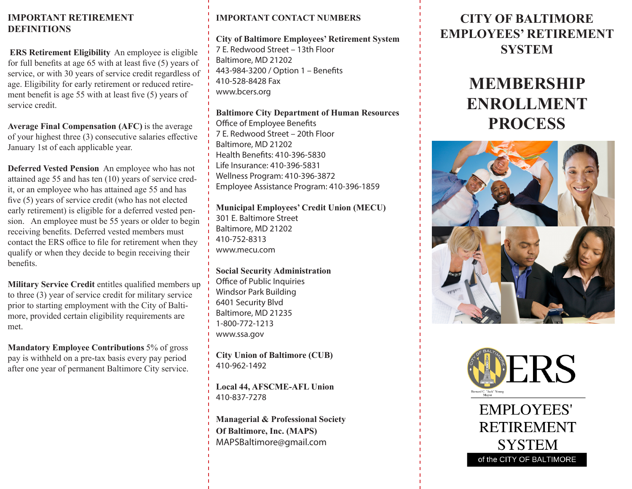### **IMPORTANT RETIREMENT DEFINITIONS**

**ERS Retirement Eligibility** An employee is eligible for full benefits at age 65 with at least five (5) years of service, or with 30 years of service credit regardless of age. Eligibility for early retirement or reduced retirement benefit is age 55 with at least five (5) years of service credit.

**Average Final Compensation (AFC)** is the average of your highest three (3) consecutive salaries effective January 1st of each applicable year.

**Deferred Vested Pension** An employee who has not attained age 55 and has ten (10) years of service credit, or an employee who has attained age 55 and has five (5) years of service credit (who has not elected early retirement) is eligible for a deferred vested pension. An employee must be 55 years or older to begin receiving benefits. Deferred vested members must contact the ERS office to file for retirement when they qualify or when they decide to begin receiving their benefits.

**Military Service Credit** entitles qualified members up to three (3) year of service credit for military service prior to starting employment with the City of Baltimore, provided certain eligibility requirements are met.

**Mandatory Employee Contributions** 5% of gross pay is withheld on a pre-tax basis every pay period after one year of permanent Baltimore City service.

### **IMPORTANT CONTACT NUMBERS**

**City of Baltimore Employees' Retirement System**

7 E. Redwood Street – 13th Floor Baltimore, MD 21202 443-984-3200 / Option 1 – Benefits 410-528-8428 Fax www.bcers.org

**Baltimore City Department of Human Resources** Office of Employee Benefits 7 E. Redwood Street – 20th Floor Baltimore, MD 21202 Health Benefits: 410-396-5830 Life Insurance: 410-396-5831 Wellness Program: 410-396-3872 Employee Assistance Program: 410-396-1859

**Municipal Employees' Credit Union (MECU)** 301 E. Baltimore Street Baltimore, MD 21202 410-752-8313 www.mecu.com

**Social Security Administration** Office of Public Inquiries Windsor Park Building 6401 Security Blvd Baltimore, MD 21235 1-800-772-1213 www.ssa.gov

**City Union of Baltimore (CUB)** 410-962-1492

**Local 44, AFSCME-AFL Union** 410-837-7278

**Managerial & Professional Society Of Baltimore, Inc. (MAPS)** MAPSBaltimore@gmail.com

### **CITY OF BALTIMORE EMPLOYEES' RETIREMENT SYSTEM**

## **MEMBERSHIP ENROLLMENT PROCESS**





**EMPLOYEES' RETIREMENT SYSTEM** of the CITY OF BALTIMORE